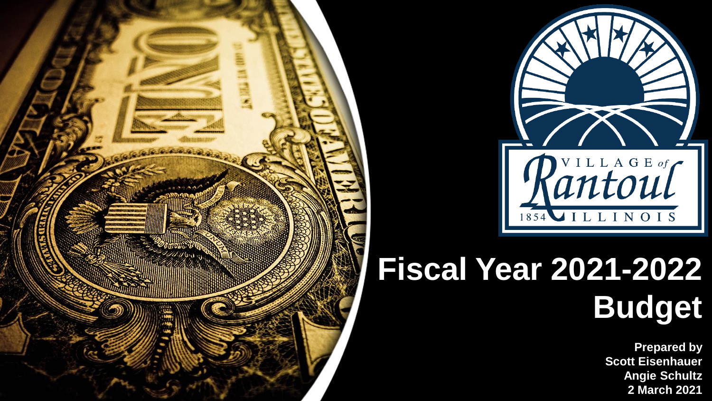



## **Fiscal Year 2021-2022 Budget**

**Prepared by Scott Eisenhauer Angie Schultz 2 March 2021**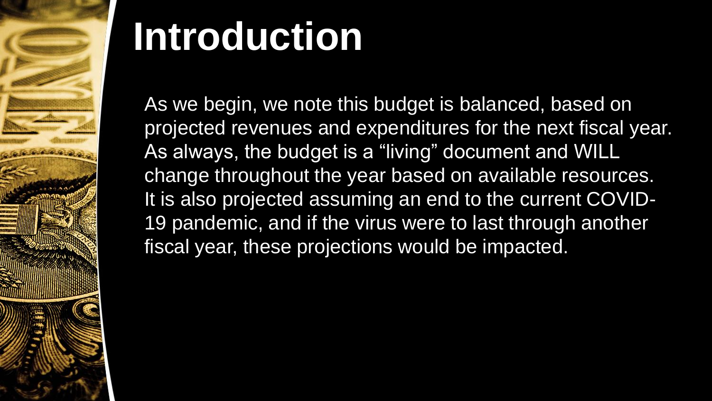

# **Introduction**

As we begin, we note this budget is balanced, based on projected revenues and expenditures for the next fiscal year. As always, the budget is a "living" document and WILL change throughout the year based on available resources. It is also projected assuming an end to the current COVID-19 pandemic, and if the virus were to last through another fiscal year, these projections would be impacted.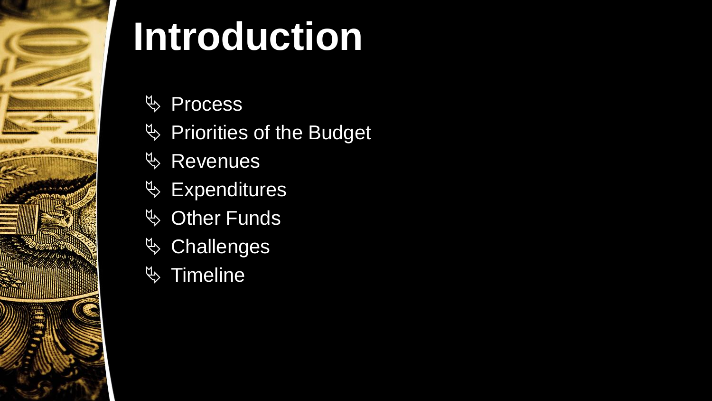

# **Introduction**

- **♦ Process**
- $\%$  Priorities of the Budget
- **& Revenues**
- $\%$  Expenditures
- $\overline{\mathfrak{G}}$  Other Funds
- $\%$  Challenges
- $\%$  Timeline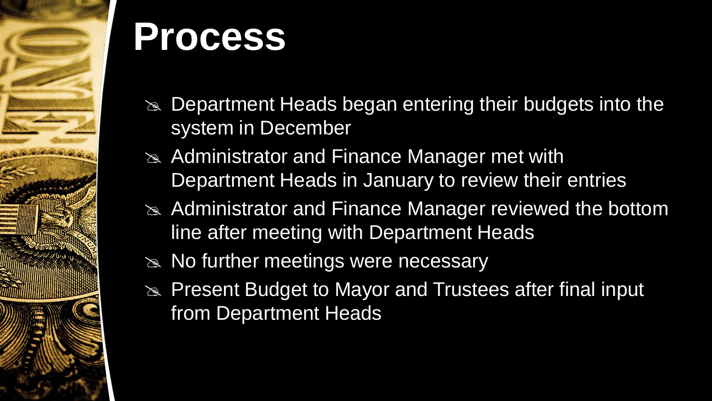

## **Process**

- $\infty$  Department Heads began entering their budgets into the system in December
- $\approx$  Administrator and Finance Manager met with Department Heads in January to review their entries
- Administrator and Finance Manager reviewed the bottom line after meeting with Department Heads
- $\approx$  No further meetings were necessary
- **EXA:** Present Budget to Mayor and Trustees after final input from Department Heads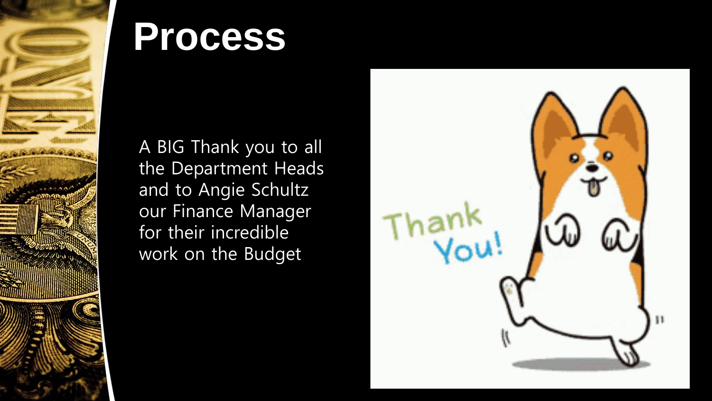

## **Process**

A BIG Thank you to all the Department Heads and to Angie Schultz our Finance Manager for their incredible work on the Budget

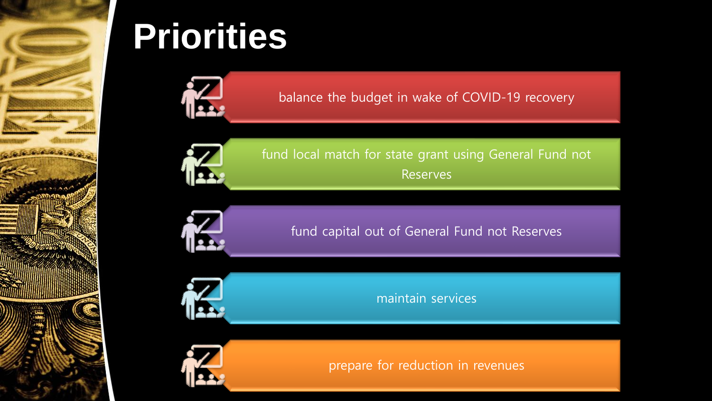

## **Priorities**



balance the budget in wake of COVID-19 recovery



fund local match for state grant using General Fund not Reserves



fund capital out of General Fund not Reserves



maintain services



prepare for reduction in revenues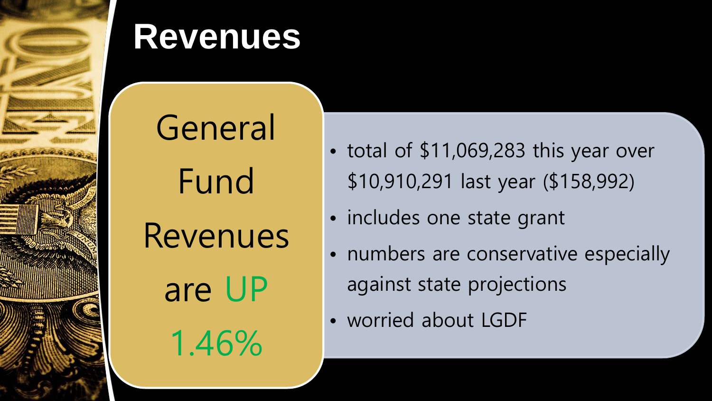

General Fund Revenues

are UP

1.46%

• total of \$11,069,283 this year over \$10,910,291 last year (\$158,992)

- includes one state grant
- numbers are conservative especially against state projections
- worried about LGDF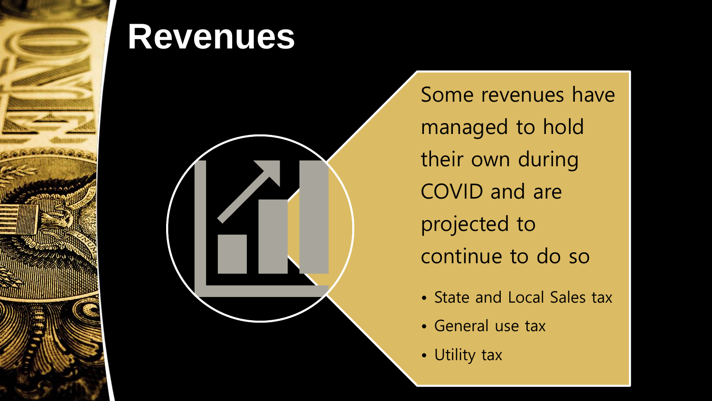



Some revenues have managed to hold their own during COVID and are projected to continue to do so

- State and Local Sales tax
- General use tax
- Utility tax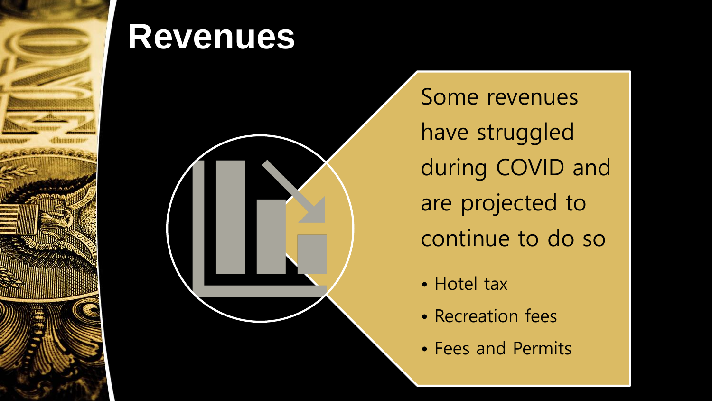



Some revenues have struggled during COVID and are projected to continue to do so

- Hotel tax
- Recreation fees
- Fees and Permits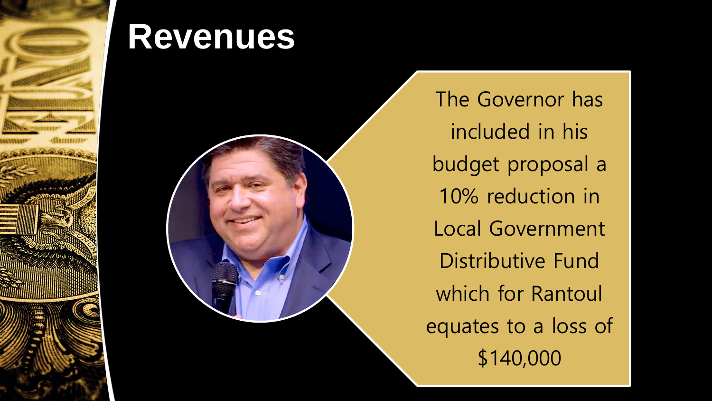



The Governor has included in his budget proposal a 10% reduction in Local Government Distributive Fund which for Rantoul equates to a loss of \$140,000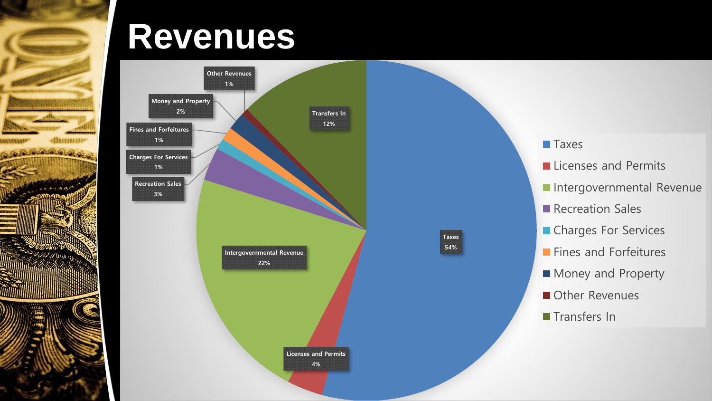

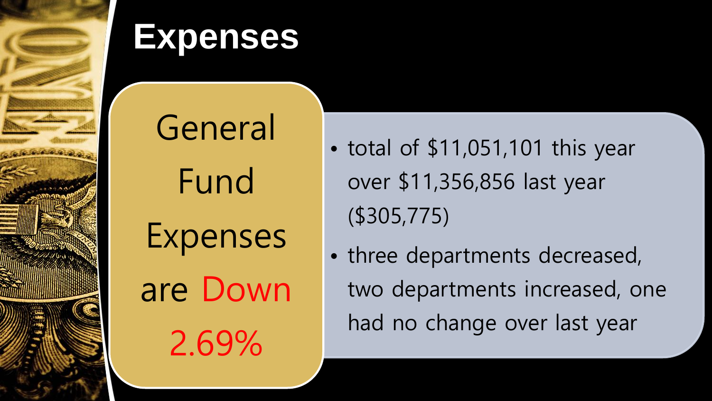

General Fund Expenses are Down 2.69%

- total of \$11,051,101 this year over \$11,356,856 last year (\$305,775)
- three departments decreased, two departments increased, one had no change over last year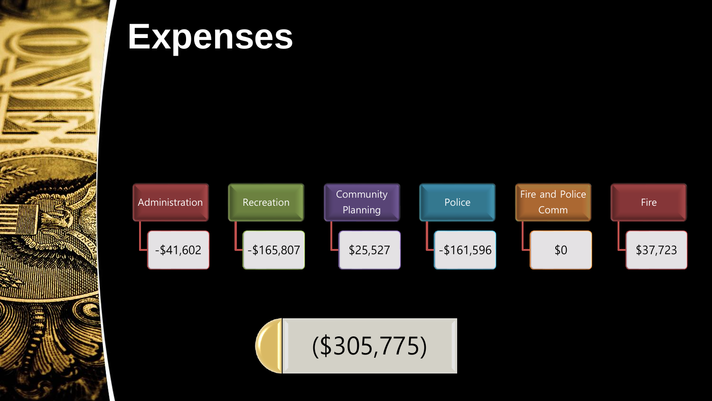



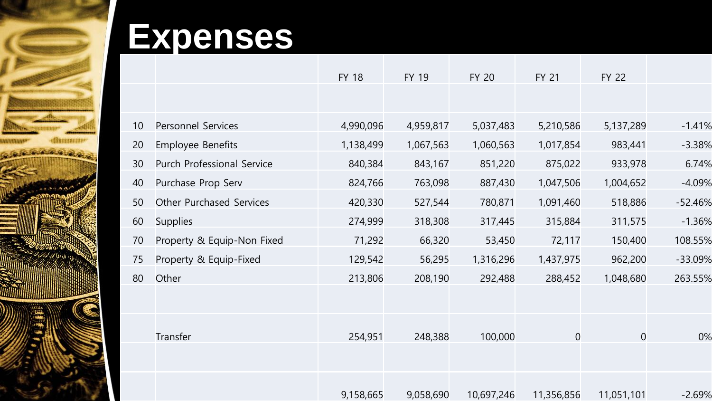

|    |                            | <b>FY 18</b> | <b>FY 19</b> | <b>FY 20</b> | <b>FY 21</b> | <b>FY 22</b> |           |
|----|----------------------------|--------------|--------------|--------------|--------------|--------------|-----------|
|    |                            |              |              |              |              |              |           |
| 10 | Personnel Services         | 4,990,096    | 4,959,817    | 5,037,483    | 5,210,586    | 5,137,289    | $-1.41%$  |
| 20 | Employee Benefits          | 1,138,499    | 1,067,563    | 1,060,563    | 1,017,854    | 983,441      | $-3.38%$  |
| 30 | Purch Professional Service | 840,384      | 843,167      | 851,220      | 875,022      | 933,978      | 6.74%     |
| 40 | Purchase Prop Serv         | 824,766      | 763,098      | 887,430      | 1,047,506    | 1,004,652    | $-4.09%$  |
| 50 | Other Purchased Services   | 420,330      | 527,544      | 780,871      | 1,091,460    | 518,886      | $-52.46%$ |
| 60 | Supplies                   | 274,999      | 318,308      | 317,445      | 315,884      | 311,575      | $-1.36%$  |
| 70 | Property & Equip-Non Fixed | 71,292       | 66,320       | 53,450       | 72,117       | 150,400      | 108.55%   |
| 75 | Property & Equip-Fixed     | 129,542      | 56,295       | 1,316,296    | 1,437,975    | 962,200      | -33.09%   |
| 80 | Other                      | 213,806      | 208,190      | 292,488      | 288,452      | 1,048,680    | 263.55%   |
|    |                            |              |              |              |              |              |           |
|    | Transfer                   | 254,951      | 248,388      | 100,000      | $\theta$     | $\theta$     | 0%        |
|    |                            |              |              |              |              |              |           |
|    |                            |              |              |              |              |              |           |
|    |                            | 9,158,665    | 9,058,690    | 10,697,246   | 11,356,856   | 11,051,101   | $-2.69%$  |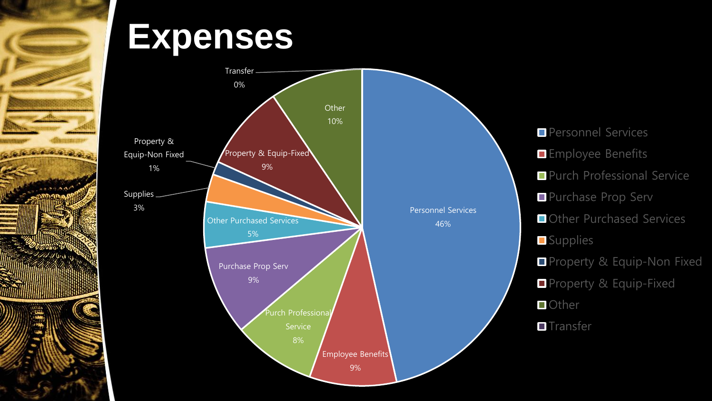



**Personnel Services Employee Benefits Purch Professional Service** Purchase Prop Serv Other Purchased Services **Supplies** Property & Equip-Non Fixed **Property & Equip-Fixed Other T**ransfer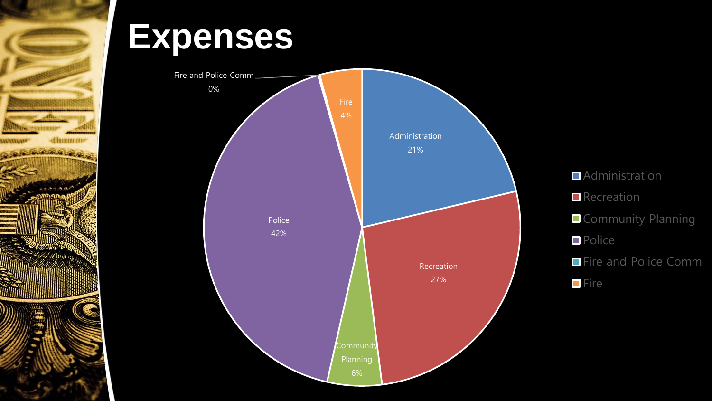



**Administration Recreation Community Planning Police Fire and Police Comm Fire**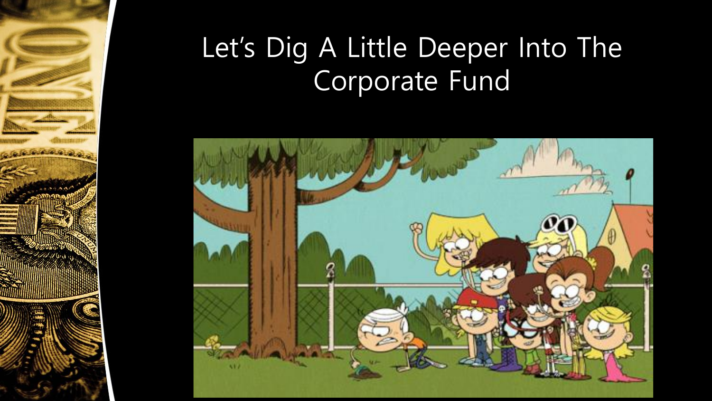#### Let's Dig A Little Deeper Into The Corporate Fund

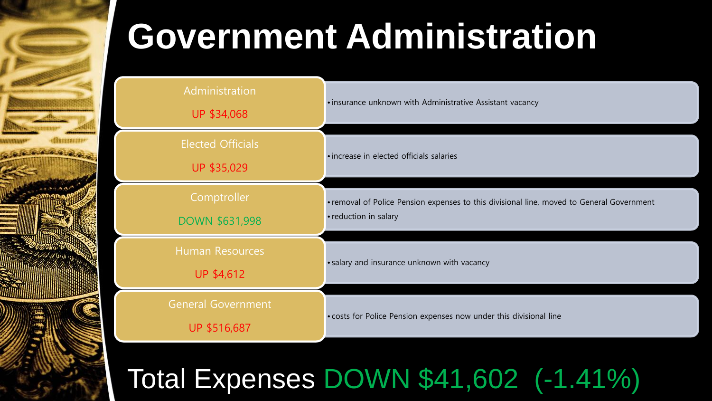

## **Government Administration**

| Administration<br>UP \$34,068               | • insurance unknown with Administrative Assistant vacancy                                                          |  |
|---------------------------------------------|--------------------------------------------------------------------------------------------------------------------|--|
| <b>Elected Officials</b><br>UP \$35,029     | • increase in elected officials salaries                                                                           |  |
| Comptroller<br><b>DOWN \$631,998</b>        | • removal of Police Pension expenses to this divisional line, moved to General Government<br>• reduction in salary |  |
| <b>Human Resources</b><br><b>UP \$4,612</b> | • salary and insurance unknown with vacancy                                                                        |  |
| <b>General Government</b><br>UP \$516,687   | • costs for Police Pension expenses now under this divisional line                                                 |  |

#### Total Expenses DOWN \$41,602 (-1.41%)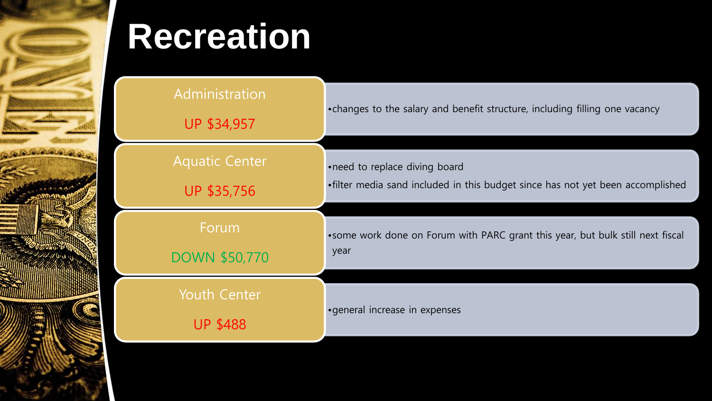

## **Recreation**

| Administration<br>UP \$34,957          | • changes to the salary and benefit structure, including filling one vacancy    |
|----------------------------------------|---------------------------------------------------------------------------------|
| <b>Aquatic Center</b>                  | •need to replace diving board                                                   |
| UP \$35,756                            | •filter media sand included in this budget since has not yet been accomplished  |
| Forum                                  | • some work done on Forum with PARC grant this year, but bulk still next fiscal |
| <b>DOWN \$50,770</b>                   | year                                                                            |
| <b>Youth Center</b><br><b>UP \$488</b> | • general increase in expenses                                                  |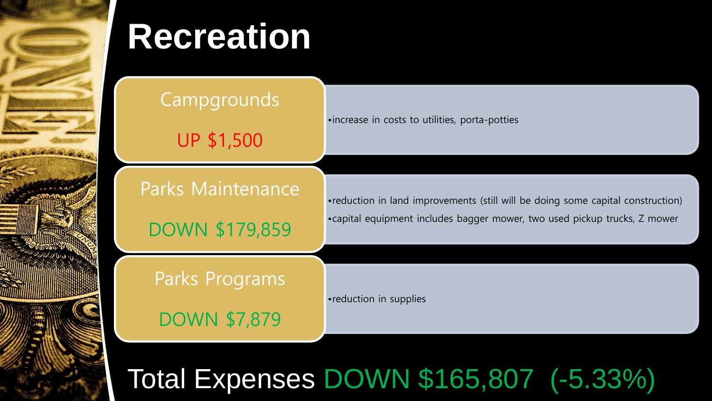

## **Recreation**

**Campgrounds** 

UP \$1,500

Parks Maintenance

DOWN \$179,859

•increase in costs to utilities, porta-potties

•reduction in land improvements (still will be doing some capital construction) •capital equipment includes bagger mower, two used pickup trucks, Z mower

Parks Programs

DOWN \$7,879

•reduction in supplies

Total Expenses DOWN \$165,807 (-5.33%)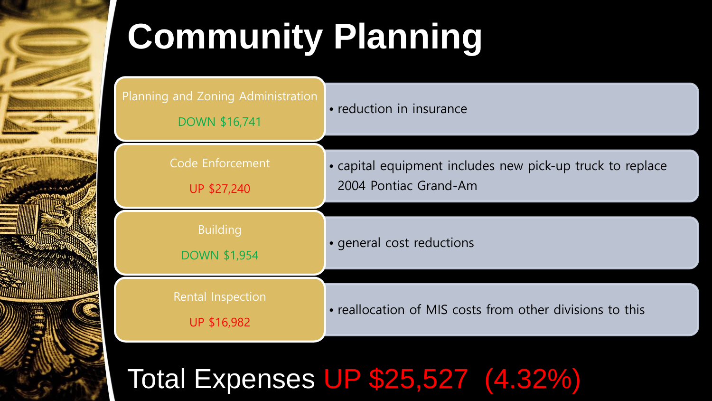

# **Community Planning**

| Planning and Zoning Administration<br><b>DOWN \$16,741</b> | • reduction in insurance                                                           |  |  |
|------------------------------------------------------------|------------------------------------------------------------------------------------|--|--|
| Code Enforcement<br>UP \$27,240                            | • capital equipment includes new pick-up truck to replace<br>2004 Pontiac Grand-Am |  |  |
| <b>Building</b><br><b>DOWN \$1,954</b>                     | • general cost reductions                                                          |  |  |
| Rental Inspection<br>UP \$16,982                           | • reallocation of MIS costs from other divisions to this                           |  |  |

#### Total Expenses UP \$25,527 (4.32%)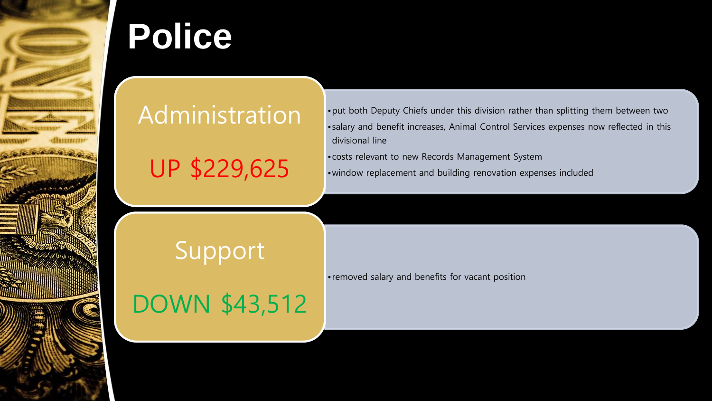

## **Police**

#### Administration

UP \$229,625

- •put both Deputy Chiefs under this division rather than splitting them between two •salary and benefit increases, Animal Control Services expenses now reflected in this divisional line
- •costs relevant to new Records Management System
- •window replacement and building renovation expenses included

#### Support

DOWN \$43,512

•removed salary and benefits for vacant position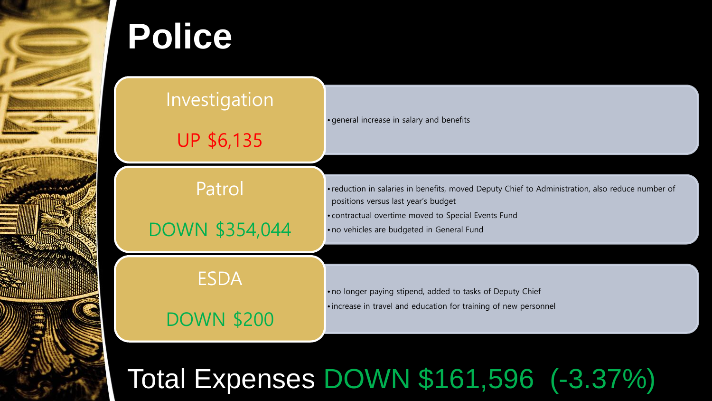

## **Police**

#### Investigation

UP \$6,135

Patrol

DOWN \$354,044

•general increase in salary and benefits

• reduction in salaries in benefits, moved Deputy Chief to Administration, also reduce number of positions versus last year's budget

• contractual overtime moved to Special Events Fund

• no vehicles are budgeted in General Fund

ESDA

DOWN \$200

• no longer paying stipend, added to tasks of Deputy Chief

• increase in travel and education for training of new personnel

Total Expenses DOWN \$161,596 (-3.37%)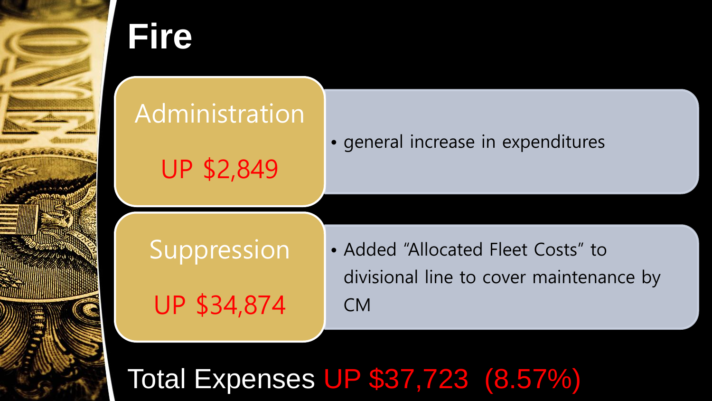

### **Fire**

#### **Administration**

UP \$2,849

• general increase in expenditures

Suppression UP \$34,874

• Added "Allocated Fleet Costs" to divisional line to cover maintenance by CM

Total Expenses UP \$37,723 (8.57%)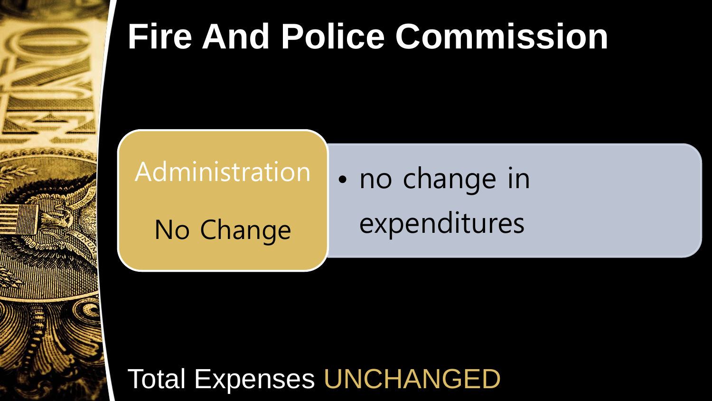

## **Fire And Police Commission**

#### Administration

No Change

• no change in expenditures

Total Expenses UNCHANGED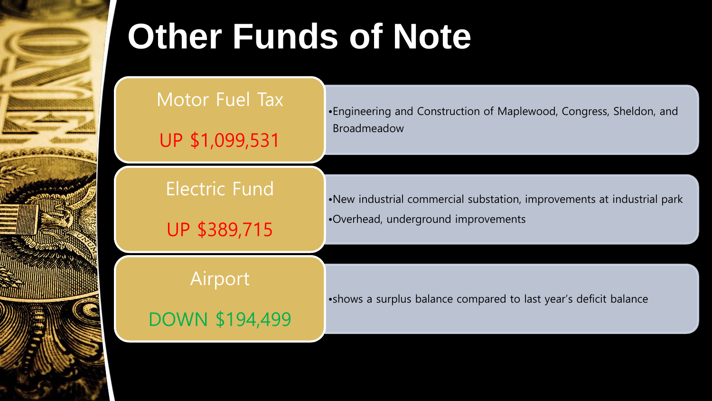

## **Other Funds of Note**

Motor Fuel Tax

UP \$1,099,531

Electric Fund

UP \$389,715

•Engineering and Construction of Maplewood, Congress, Sheldon, and Broadmeadow

•New industrial commercial substation, improvements at industrial park •Overhead, underground improvements

Airport

DOWN \$194,499

•shows a surplus balance compared to last year's deficit balance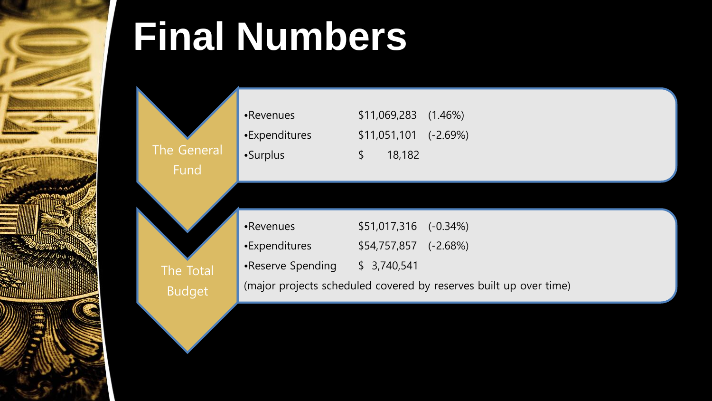

# **Final Numbers**

The Total

Budget



| •Revenues                                                         | $$51,017,316$ $(-0.34\%)$ |  |  |  |
|-------------------------------------------------------------------|---------------------------|--|--|--|
| $\mathsf{\blacktriangleleft}$ • Expenditures                      | $$54,757,857$ (-2.68%)    |  |  |  |
| Reserve Spending                                                  | \$3,740,541               |  |  |  |
| (major projects scheduled covered by reserves built up over time) |                           |  |  |  |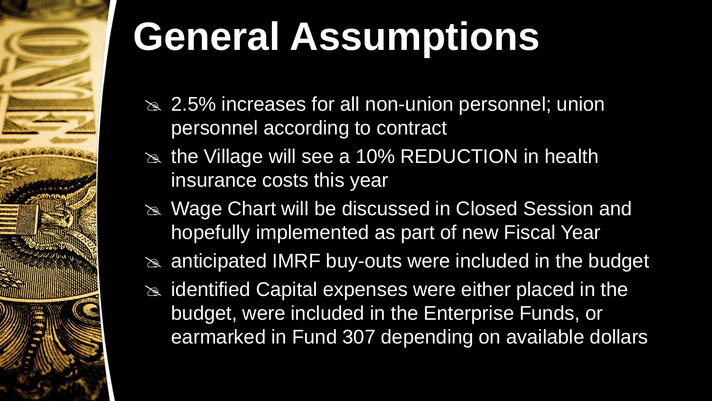

# **General Assumptions**

- $\approx$  2.5% increases for all non-union personnel; union personnel according to contract
- $\approx$  the Village will see a 10% REDUCTION in health insurance costs this year
- Wage Chart will be discussed in Closed Session and hopefully implemented as part of new Fiscal Year
- $\approx$  anticipated IMRF buy-outs were included in the budget
- $\approx$  identified Capital expenses were either placed in the budget, were included in the Enterprise Funds, or earmarked in Fund 307 depending on available dollars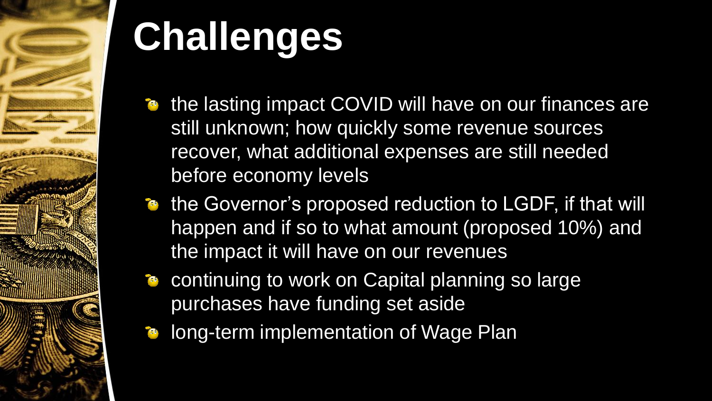

# **Challenges**

- **the lasting impact COVID will have on our finances are** still unknown; how quickly some revenue sources recover, what additional expenses are still needed before economy levels
- the Governor's proposed reduction to LGDF, if that will happen and if so to what amount (proposed 10%) and the impact it will have on our revenues
- continuing to work on Capital planning so large purchases have funding set aside
- long-term implementation of Wage Plan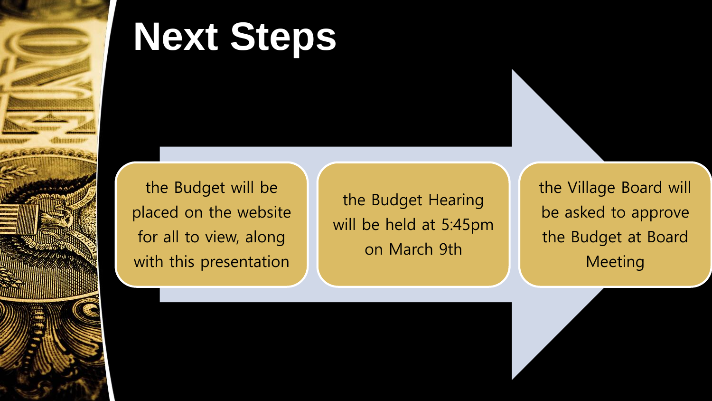

## **Next Steps**

the Budget will be placed on the website for all to view, along with this presentation

the Budget Hearing will be held at 5:45pm on March 9th

the Village Board will be asked to approve the Budget at Board **Meeting**